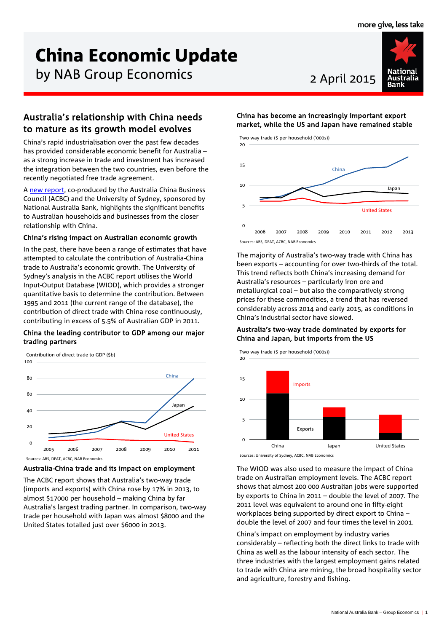# China Economic Update

by NAB Group Economics 2 April 2015



# Australia's relationship with China needs to mature as its growth model evolves

China's rapid industrialisation over the past few decades has provided considerable economic benefit for Australia – as a strong increase in trade and investment has increased the integration between the two countries, even before the recently negotiated free trade agreement.

[A new report,](http://business.nab.com.au/wp-content/uploads/2015/03/2014-Australia_China_Trade_Report.pdf) co-produced by the Australia China Business Council (ACBC) and the University of Sydney, sponsored by National Australia Bank, highlights the significant benefits to Australian households and businesses from the closer relationship with China.

# China's rising impact on Australian economic growth

In the past, there have been a range of estimates that have attempted to calculate the contribution of Australia-China trade to Australia's economic growth. The University of Sydney's analysis in the ACBC report utilises the World Input-Output Database (WIOD), which provides a stronger quantitative basis to determine the contribution. Between 1995 and 2011 (the current range of the database), the contribution of direct trade with China rose continuously, contributing in excess of 5.5% of Australian GDP in 2011.

# China the leading contributor to GDP among our major trading partners

Contribution of direct trade to GDP (\$b)



# Australia-China trade and its impact on employment

The ACBC report shows that Australia's two-way trade (imports and exports) with China rose by 17% in 2013, to almost \$17000 per household – making China by far Australia's largest trading partner. In comparison, two-way trade per household with Japan was almost \$8000 and the United States totalled just over \$6000 in 2013.

# China has become an increasingly important export market, while the US and Japan have remained stable



The majority of Australia's two-way trade with China has been exports – accounting for over two-thirds of the total. This trend reflects both China's increasing demand for Australia's resources – particularly iron ore and metallurgical coal – but also the comparatively strong prices for these commodities, a trend that has reversed

# China's industrial sector have slowed. Australia's two-way trade dominated by exports for China and Japan, but imports from the US

considerably across 2014 and early 2015, as conditions in



The WIOD was also used to measure the impact of China trade on Australian employment levels. The ACBC report shows that almost 200 000 Australian jobs were supported by exports to China in 2011 – double the level of 2007. The 2011 level was equivalent to around one in fifty-eight workplaces being supported by direct export to China – double the level of 2007 and four times the level in 2001.

China's impact on employment by industry varies considerably – reflecting both the direct links to trade with China as well as the labour intensity of each sector. The three industries with the largest employment gains related to trade with China are mining, the broad hospitality sector and agriculture, forestry and fishing.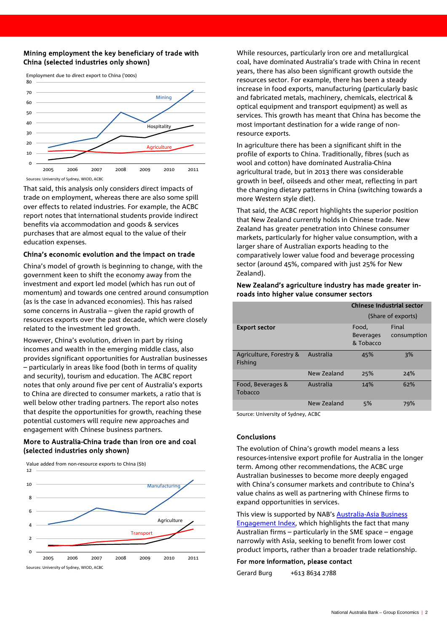### Mining employment the key beneficiary of trade with China (selected industries only shown)



That said, this analysis only considers direct impacts of trade on employment, whereas there are also some spill over effects to related industries. For example, the ACBC report notes that international students provide indirect benefits via accommodation and goods & services purchases that are almost equal to the value of their education expenses.

#### China's economic evolution and the impact on trade

China's model of growth is beginning to change, with the government keen to shift the economy away from the investment and export led model (which has run out of momentum) and towards one centred around consumption (as is the case in advanced economies). This has raised some concerns in Australia – given the rapid growth of resources exports over the past decade, which were closely related to the investment led growth.

However, China's evolution, driven in part by rising incomes and wealth in the emerging middle class, also provides significant opportunities for Australian businesses – particularly in areas like food (both in terms of quality and security), tourism and education. The ACBC report notes that only around five per cent of Australia's exports to China are directed to consumer markets, a ratio that is well below other trading partners. The report also notes that despite the opportunities for growth, reaching these potential customers will require new approaches and engagement with Chinese business partners.

# More to Australia-China trade than iron ore and coal (selected industries only shown)



While resources, particularly iron ore and metallurgical coal, have dominated Australia's trade with China in recent years, there has also been significant growth outside the resources sector. For example, there has been a steady increase in food exports, manufacturing (particularly basic and fabricated metals, machinery, chemicals, electrical & optical equipment and transport equipment) as well as services. This growth has meant that China has become the most important destination for a wide range of nonresource exports.

In agriculture there has been a significant shift in the profile of exports to China. Traditionally, fibres (such as wool and cotton) have dominated Australia-China agricultural trade, but in 2013 there was considerable growth in beef, oilseeds and other meat, reflecting in part the changing dietary patterns in China (switching towards a more Western style diet).

That said, the ACBC report highlights the superior position that New Zealand currently holds in Chinese trade. New Zealand has greater penetration into Chinese consumer markets, particularly for higher value consumption, with a larger share of Australian exports heading to the comparatively lower value food and beverage processing sector (around 45%, compared with just 25% for New Zealand).

### New Zealand's agriculture industry has made greater inroads into higher value consumer sectors

|                                    |             | Chinese industrial sector              |                      |
|------------------------------------|-------------|----------------------------------------|----------------------|
|                                    |             | (Share of exports)                     |                      |
| <b>Export sector</b>               |             | Food,<br><b>Beverages</b><br>& Tobacco | Final<br>consumption |
| Agriculture, Forestry &<br>Fishing | Australia   | 45%                                    | 3%                   |
|                                    | New Zealand | 25%                                    | 24%                  |
| Food, Beverages &<br>Tobacco       | Australia   | 14%                                    | 62%                  |
|                                    | New Zealand | 5%                                     | 79%                  |

Source: University of Sydney, ACBC

#### Conclusions

The evolution of China's growth model means a less resources-intensive export profile for Australia in the longer term. Among other recommendations, the ACBC urge Australian businesses to become more deeply engaged with China's consumer markets and contribute to China's value chains as well as partnering with Chinese firms to expand opportunities in services.

This view is supported by NAB'[s Australia-Asia Business](http://business.nab.com.au/wp-content/uploads/2014/09/nab-australia-asia-business-engagement-inedx-q2-2014.pdf)  [Engagement Index,](http://business.nab.com.au/wp-content/uploads/2014/09/nab-australia-asia-business-engagement-inedx-q2-2014.pdf) which highlights the fact that many Australian firms – particularly in the SME space – engage narrowly with Asia, seeking to benefit from lower cost product imports, rather than a broader trade relationship.

#### For more information, please contact

Gerard Burg +613 8634 2788